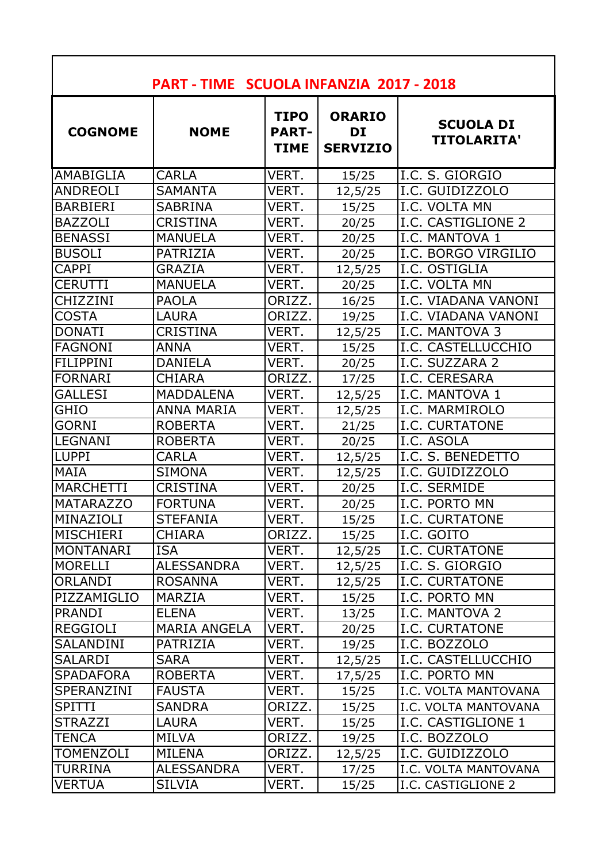| PART - TIME SCUOLA INFANZIA 2017 - 2018 |                     |                                             |                                        |                                        |
|-----------------------------------------|---------------------|---------------------------------------------|----------------------------------------|----------------------------------------|
| <b>COGNOME</b>                          | <b>NOME</b>         | <b>TIPO</b><br><b>PART-1</b><br><b>TIME</b> | <b>ORARIO</b><br>DI<br><b>SERVIZIO</b> | <b>SCUOLA DI</b><br><b>TITOLARITA'</b> |
| <b>AMABIGLIA</b>                        | <b>CARLA</b>        | VERT.                                       | 15/25                                  | I.C. S. GIORGIO                        |
| <b>ANDREOLI</b>                         | <b>SAMANTA</b>      | VERT.                                       | 12,5/25                                | I.C. GUIDIZZOLO                        |
| <b>BARBIERI</b>                         | <b>SABRINA</b>      | VERT.                                       | 15/25                                  | II.C. VOLTA MN                         |
| <b>BAZZOLI</b>                          | <b>CRISTINA</b>     | VERT.                                       | 20/25                                  | <b>I.C. CASTIGLIONE 2</b>              |
| <b>BENASSI</b>                          | <b>MANUELA</b>      | VERT.                                       | 20/25                                  | II.C. MANTOVA 1                        |
| <b>BUSOLI</b>                           | PATRIZIA            | VERT.                                       | 20/25                                  | II.C. BORGO VIRGILIO                   |
| <b>CAPPI</b>                            | <b>GRAZIA</b>       | VERT.                                       | 12,5/25                                | I.C. OSTIGLIA                          |
| <b>CERUTTI</b>                          | <b>MANUELA</b>      | VERT.                                       | 20/25                                  | I.C. VOLTA MN                          |
| CHIZZINI                                | <b>PAOLA</b>        | ORIZZ.                                      | 16/25                                  | I.C. VIADANA VANONI                    |
| <b>COSTA</b>                            | <b>LAURA</b>        | ORIZZ.                                      | 19/25                                  | II.C. VIADANA VANONI                   |
| <b>DONATI</b>                           | <b>CRISTINA</b>     | VERT.                                       | 12,5/25                                | I.C. MANTOVA 3                         |
| <b>FAGNONI</b>                          | <b>ANNA</b>         | VERT.                                       | 15/25                                  | I.C. CASTELLUCCHIO                     |
| <b>FILIPPINI</b>                        | <b>DANIELA</b>      | VERT.                                       | 20/25                                  | I.C. SUZZARA 2                         |
| FORNARI                                 | <b>CHIARA</b>       | ORIZZ.                                      | 17/25                                  | I.C. CERESARA                          |
| <b>GALLESI</b>                          | <b>MADDALENA</b>    | VERT.                                       | 12,5/25                                | I.C. MANTOVA 1                         |
| <b>GHIO</b>                             | <b>ANNA MARIA</b>   | VERT.                                       | 12,5/25                                | I.C. MARMIROLO                         |
| <b>GORNI</b>                            | <b>ROBERTA</b>      | VERT.                                       | 21/25                                  | <b>I.C. CURTATONE</b>                  |
| <b>LEGNANI</b>                          | <b>ROBERTA</b>      | VERT.                                       | 20/25                                  | I.C. ASOLA                             |
| <b>LUPPI</b>                            | <b>CARLA</b>        | VERT.                                       | 12,5/25                                | I.C. S. BENEDETTO                      |
| <b>MAIA</b>                             | <b>SIMONA</b>       | VERT.                                       | 12,5/25                                | II.C. GUIDIZZOLO                       |
| MARCHETTI                               | <b>CRISTINA</b>     | VERT.                                       | 20/25                                  | I.C. SERMIDE                           |
| <b>MATARAZZO</b>                        | <b>FORTUNA</b>      | VERT.                                       | 20/25                                  | I.C. PORTO MN                          |
| MINAZIOLI                               | <b>STEFANIA</b>     | VERT.                                       | 15/25                                  | <b>I.C. CURTATONE</b>                  |
| MISCHIERI                               | <b>CHIARA</b>       | ORIZZ.                                      | 15/25                                  | II.C. GOITO                            |
| IMONTANARI                              | <b>ISA</b>          | VERT.                                       | 12,5/25                                | II.C. CURTATONE                        |
| <b>MORELLI</b>                          | <b>ALESSANDRA</b>   | VERT.                                       | 12,5/25                                | II.C. S. GIORGIO                       |
| <b>ORLANDI</b>                          | <b>ROSANNA</b>      | VERT.                                       | 12,5/25                                | <b>I.C. CURTATONE</b>                  |
| PIZZAMIGLIO                             | MARZIA              | VERT.                                       | 15/25                                  | I.C. PORTO MN                          |
| <b>PRANDI</b>                           | <b>ELENA</b>        | VERT.                                       | 13/25                                  | I.C. MANTOVA 2                         |
| <b>REGGIOLI</b>                         | <b>MARIA ANGELA</b> | VERT.                                       | 20/25                                  | II.C. CURTATONE                        |
| <b>SALANDINI</b>                        | PATRIZIA            | VERT.                                       | 19/25                                  | I.C. BOZZOLO                           |
| <b>SALARDI</b>                          | <b>SARA</b>         | VERT.                                       | 12,5/25                                | I.C. CASTELLUCCHIO                     |
| <b>SPADAFORA</b>                        | <b>ROBERTA</b>      | VERT.                                       | 17,5/25                                | <b>I.C. PORTO MN</b>                   |
| ISPERANZINI                             | <b>FAUSTA</b>       | VERT.                                       | 15/25                                  | I.C. VOLTA MANTOVANA                   |
| <b>SPITTI</b>                           | <b>SANDRA</b>       | ORIZZ.                                      | 15/25                                  | I.C. VOLTA MANTOVANA                   |
| <b>STRAZZI</b>                          | LAURA               | VERT.                                       | 15/25                                  | I.C. CASTIGLIONE 1                     |
| <b>TENCA</b>                            | MILVA               | ORIZZ.                                      | 19/25                                  | I.C. BOZZOLO                           |
| <b>TOMENZOLI</b>                        | <b>MILENA</b>       | ORIZZ.                                      | 12,5/25                                | I.C. GUIDIZZOLO                        |
| <b>TURRINA</b>                          | <b>ALESSANDRA</b>   | VERT.                                       | 17/25                                  | I.C. VOLTA MANTOVANA                   |
| <b>VERTUA</b>                           | <b>SILVIA</b>       | VERT.                                       | 15/25                                  | I.C. CASTIGLIONE 2                     |